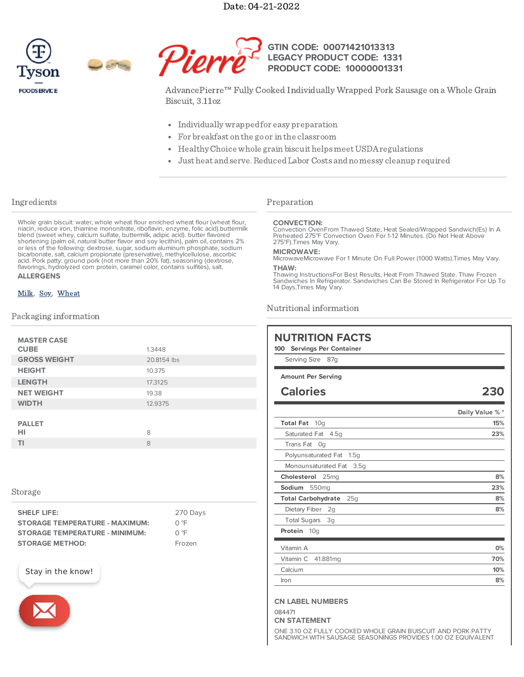Date: 04-21-2022





#### **GTIN CODE: LEGACY PRODUCT CODE: PRODUCT CODE: 10000001331 00071421013313 1331**

AdvancePierre™ Fully Cooked Individually Wrapped Pork Sausage on a Whole Grain Biscuit, 3.11oz

- Individually wrappedfor easy preparation
- For breakfast on the go or in the classroom
- Healthy Choice whole grain biscuit helps meet USDA regulations
- Just heat andserve.ReducedLaborCosts andnomessy cleanup required

# Ingredients

Whole grain biscuit: water, whole wheat flour enriched wheat flour (wheat flour, niacin, reduce iron, thiamine mononitrate, riboflavin, enzyme, folic acid).buttermilk blend (sweet whey, calcium sulfate, buttermilk, adipic acid). butter flavored shortening (palm oil, natural butter flavor and soy lecithin), palm oil, contains 2% or less of the following: dextrose, sugar, sodium aluminum phosphate, sodium bicarbonate, salt, calcium propionate (preservative), methylcellulose, ascorbic acid. Pork patty: ground pork (not more than 20% fat), seasoning (dextrose, flavorings, hydrolyzed corn protein, caramel color, contains sulfites), salt. **ALLERGENS**

# [Milk](https://www.tysonfoodservice.com/taxonomy/term/4246), [Soy](https://www.tysonfoodservice.com/taxonomy/term/4421), [Wheat](https://www.tysonfoodservice.com/taxonomy/term/4236)

## Packaging information

| <b>MASTER CASE</b><br><b>CUBE</b> | 1.3448      |
|-----------------------------------|-------------|
| <b>GROSS WEIGHT</b>               | 20.8154 lbs |
| <b>HEIGHT</b>                     | 10.375      |
| <b>LENGTH</b>                     | 17.3125     |
| <b>NET WEIGHT</b>                 | 19.38       |
| <b>WIDTH</b>                      | 12.9375     |
| <b>PALLET</b><br>HI               | 8           |
| <b>TI</b>                         | 8           |
|                                   |             |

## Storage

| <b>SHELF LIFE:</b>                    | 270 Days |
|---------------------------------------|----------|
| <b>STORAGE TEMPERATURE - MAXIMUM:</b> | ∩ °F     |
| <b>STORAGE TEMPERATURE - MINIMUM:</b> | O °F     |
| <b>STORAGE METHOD:</b>                | Frozen   |





# Preparation

#### **CONVECTION:**

Convection OvenFrom Thawed State, Heat Sealed/Wrapped Sandwich(Es) In A Preheated 275°F Convection Oven For 1-12 Minutes. (Do Not Heat Above 275°F).Times May Vary.

#### **MICROWAVE:**

MicrowaveMicrowave For 1 Minute On Full Power (1000 Watts).Times May Vary.

#### **THAW:**

Thawing InstructionsFor Best Results, Heat From Thawed State. Thaw Frozen Sandwiches In Refrigerator. Sandwiches Can Be Stored In Refrigerator For Up To 14 Days.Times May Vary.

## Nutritional information

| <b>NUTRITION FACTS</b><br><b>Servings Per Container</b><br>100<br>Serving Size<br>87q |                 |
|---------------------------------------------------------------------------------------|-----------------|
| <b>Amount Per Serving</b>                                                             |                 |
| <b>Calories</b>                                                                       | 230             |
|                                                                                       | Daily Value % * |
| <b>Total Fat</b><br>10 <sub>a</sub>                                                   | 15%             |
| Saturated Fat<br>4.5q                                                                 | 23%             |
| <b>Trans Fat</b><br>Oq                                                                |                 |
| Polyunsaturated Fat<br>1.5g                                                           |                 |
| Monounsaturated Fat<br>3.5q                                                           |                 |
| Cholesterol<br>25 <sub>mq</sub>                                                       | 8%              |
| Sodium<br>550 <sub>mq</sub>                                                           | 23%             |
| <b>Total Carbohydrate</b><br>25q                                                      | 8%              |
| Dietary Fiber<br>2q                                                                   | 8%              |
| <b>Total Sugars</b><br>3g                                                             |                 |
| Protein 10g                                                                           |                 |
| Vitamin A                                                                             | 0%              |
| Vitamin C<br>41.881mg                                                                 | 70%             |
| Calcium                                                                               | 10%             |
| Iron                                                                                  | 8%              |

### **CN LABEL NUMBERS**

084471

**CN STATEMENT**

ONE 3.10 OZ FULLY COOKED WHOLE GRAIN BUISCUIT AND PORK PATTY SANDWICH WITH SAUSAGE SEASONINGS PROVIDES 1.00 OZ EQUIVALENT